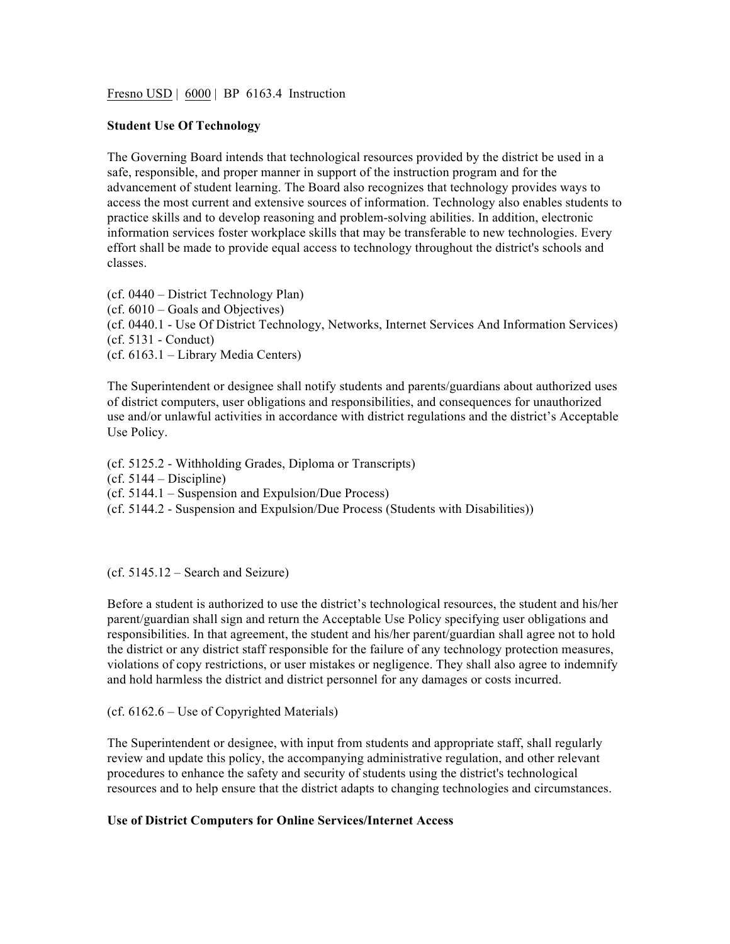Fresno USD | 6000 | BP 6163.4 Instruction

## **Student Use Of Technology**

The Governing Board intends that technological resources provided by the district be used in a safe, responsible, and proper manner in support of the instruction program and for the advancement of student learning. The Board also recognizes that technology provides ways to access the most current and extensive sources of information. Technology also enables students to practice skills and to develop reasoning and problem-solving abilities. In addition, electronic information services foster workplace skills that may be transferable to new technologies. Every effort shall be made to provide equal access to technology throughout the district's schools and classes.

(cf. 0440 – District Technology Plan) (cf. 6010 – Goals and Objectives) (cf. 0440.1 - Use Of District Technology, Networks, Internet Services And Information Services) (cf. 5131 - Conduct) (cf. 6163.1 – Library Media Centers)

The Superintendent or designee shall notify students and parents/guardians about authorized uses of district computers, user obligations and responsibilities, and consequences for unauthorized use and/or unlawful activities in accordance with district regulations and the district's Acceptable Use Policy.

(cf. 5125.2 - Withholding Grades, Diploma or Transcripts)

 $(cf. 5144 - Discipline)$ 

(cf. 5144.1 – Suspension and Expulsion/Due Process)

(cf. 5144.2 - Suspension and Expulsion/Due Process (Students with Disabilities))

## (cf. 5145.12 – Search and Seizure)

Before a student is authorized to use the district's technological resources, the student and his/her parent/guardian shall sign and return the Acceptable Use Policy specifying user obligations and responsibilities. In that agreement, the student and his/her parent/guardian shall agree not to hold the district or any district staff responsible for the failure of any technology protection measures, violations of copy restrictions, or user mistakes or negligence. They shall also agree to indemnify and hold harmless the district and district personnel for any damages or costs incurred.

(cf. 6162.6 – Use of Copyrighted Materials)

The Superintendent or designee, with input from students and appropriate staff, shall regularly review and update this policy, the accompanying administrative regulation, and other relevant procedures to enhance the safety and security of students using the district's technological resources and to help ensure that the district adapts to changing technologies and circumstances.

## **Use of District Computers for Online Services/Internet Access**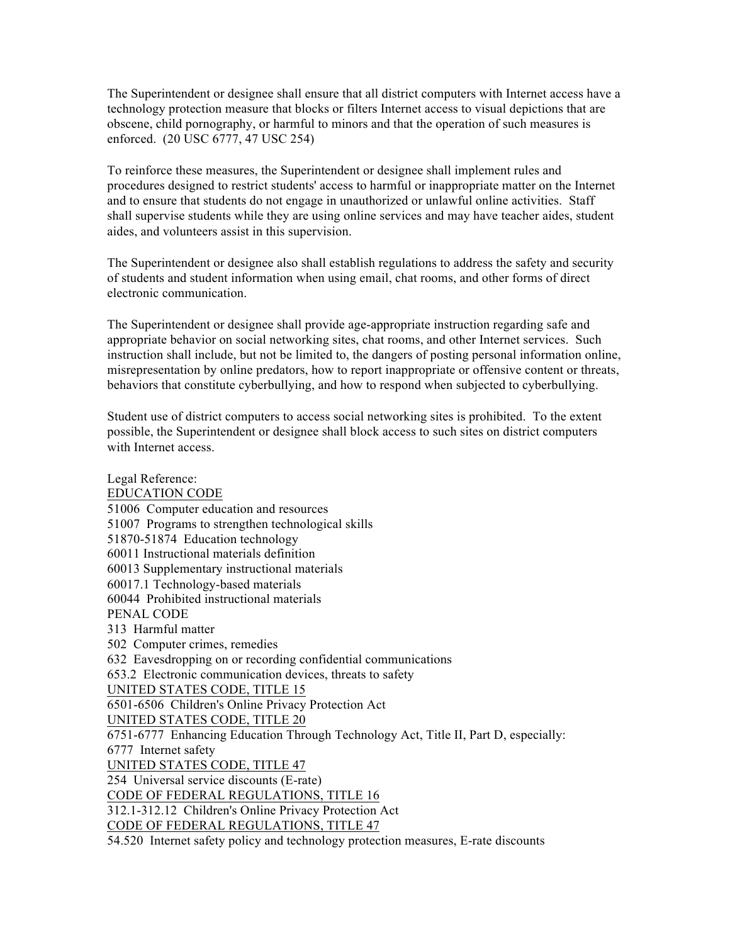The Superintendent or designee shall ensure that all district computers with Internet access have a technology protection measure that blocks or filters Internet access to visual depictions that are obscene, child pornography, or harmful to minors and that the operation of such measures is enforced. (20 USC 6777, 47 USC 254)

To reinforce these measures, the Superintendent or designee shall implement rules and procedures designed to restrict students' access to harmful or inappropriate matter on the Internet and to ensure that students do not engage in unauthorized or unlawful online activities. Staff shall supervise students while they are using online services and may have teacher aides, student aides, and volunteers assist in this supervision.

The Superintendent or designee also shall establish regulations to address the safety and security of students and student information when using email, chat rooms, and other forms of direct electronic communication.

The Superintendent or designee shall provide age-appropriate instruction regarding safe and appropriate behavior on social networking sites, chat rooms, and other Internet services. Such instruction shall include, but not be limited to, the dangers of posting personal information online, misrepresentation by online predators, how to report inappropriate or offensive content or threats, behaviors that constitute cyberbullying, and how to respond when subjected to cyberbullying.

Student use of district computers to access social networking sites is prohibited. To the extent possible, the Superintendent or designee shall block access to such sites on district computers with Internet access.

Legal Reference: EDUCATION CODE 51006 Computer education and resources 51007 Programs to strengthen technological skills 51870-51874 Education technology 60011 Instructional materials definition 60013 Supplementary instructional materials 60017.1 Technology-based materials 60044 Prohibited instructional materials PENAL CODE 313 Harmful matter 502 Computer crimes, remedies 632 Eavesdropping on or recording confidential communications 653.2 Electronic communication devices, threats to safety UNITED STATES CODE, TITLE 15 6501-6506 Children's Online Privacy Protection Act UNITED STATES CODE, TITLE 20 6751-6777 Enhancing Education Through Technology Act, Title II, Part D, especially: 6777 Internet safety UNITED STATES CODE, TITLE 47 254 Universal service discounts (E-rate) CODE OF FEDERAL REGULATIONS, TITLE 16 312.1-312.12 Children's Online Privacy Protection Act CODE OF FEDERAL REGULATIONS, TITLE 47

54.520 Internet safety policy and technology protection measures, E-rate discounts